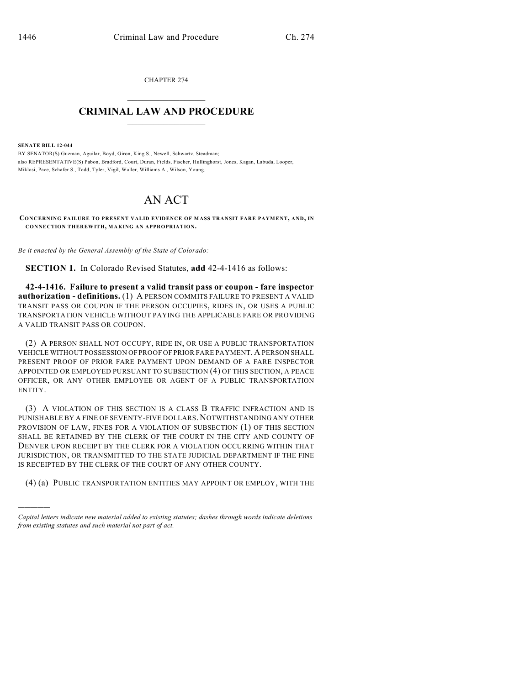CHAPTER 274  $\overline{\phantom{a}}$  . The set of the set of the set of the set of the set of the set of the set of the set of the set of the set of the set of the set of the set of the set of the set of the set of the set of the set of the set o

## **CRIMINAL LAW AND PROCEDURE**  $\frac{1}{2}$  ,  $\frac{1}{2}$  ,  $\frac{1}{2}$  ,  $\frac{1}{2}$  ,  $\frac{1}{2}$  ,  $\frac{1}{2}$  ,  $\frac{1}{2}$

**SENATE BILL 12-044**

)))))

BY SENATOR(S) Guzman, Aguilar, Boyd, Giron, King S., Newell, Schwartz, Steadman; also REPRESENTATIVE(S) Pabon, Bradford, Court, Duran, Fields, Fischer, Hullinghorst, Jones, Kagan, Labuda, Looper, Miklosi, Pace, Schafer S., Todd, Tyler, Vigil, Waller, Williams A., Wilson, Young.

## AN ACT

**CONCERNING FAILURE TO PRESENT VALID EVIDENCE OF MASS TRANSIT FARE PAYMENT, AND, IN CONNECTION THEREWITH, MAKING AN APPROPRIATION.**

*Be it enacted by the General Assembly of the State of Colorado:*

**SECTION 1.** In Colorado Revised Statutes, **add** 42-4-1416 as follows:

**42-4-1416. Failure to present a valid transit pass or coupon - fare inspector authorization - definitions.** (1) A PERSON COMMITS FAILURE TO PRESENT A VALID TRANSIT PASS OR COUPON IF THE PERSON OCCUPIES, RIDES IN, OR USES A PUBLIC TRANSPORTATION VEHICLE WITHOUT PAYING THE APPLICABLE FARE OR PROVIDING A VALID TRANSIT PASS OR COUPON.

(2) A PERSON SHALL NOT OCCUPY, RIDE IN, OR USE A PUBLIC TRANSPORTATION VEHICLE WITHOUT POSSESSION OF PROOF OF PRIOR FARE PAYMENT. A PERSON SHALL PRESENT PROOF OF PRIOR FARE PAYMENT UPON DEMAND OF A FARE INSPECTOR APPOINTED OR EMPLOYED PURSUANT TO SUBSECTION (4) OF THIS SECTION, A PEACE OFFICER, OR ANY OTHER EMPLOYEE OR AGENT OF A PUBLIC TRANSPORTATION ENTITY.

(3) A VIOLATION OF THIS SECTION IS A CLASS B TRAFFIC INFRACTION AND IS PUNISHABLE BY A FINE OF SEVENTY-FIVE DOLLARS. NOTWITHSTANDING ANY OTHER PROVISION OF LAW, FINES FOR A VIOLATION OF SUBSECTION (1) OF THIS SECTION SHALL BE RETAINED BY THE CLERK OF THE COURT IN THE CITY AND COUNTY OF DENVER UPON RECEIPT BY THE CLERK FOR A VIOLATION OCCURRING WITHIN THAT JURISDICTION, OR TRANSMITTED TO THE STATE JUDICIAL DEPARTMENT IF THE FINE IS RECEIPTED BY THE CLERK OF THE COURT OF ANY OTHER COUNTY.

(4) (a) PUBLIC TRANSPORTATION ENTITIES MAY APPOINT OR EMPLOY, WITH THE

*Capital letters indicate new material added to existing statutes; dashes through words indicate deletions from existing statutes and such material not part of act.*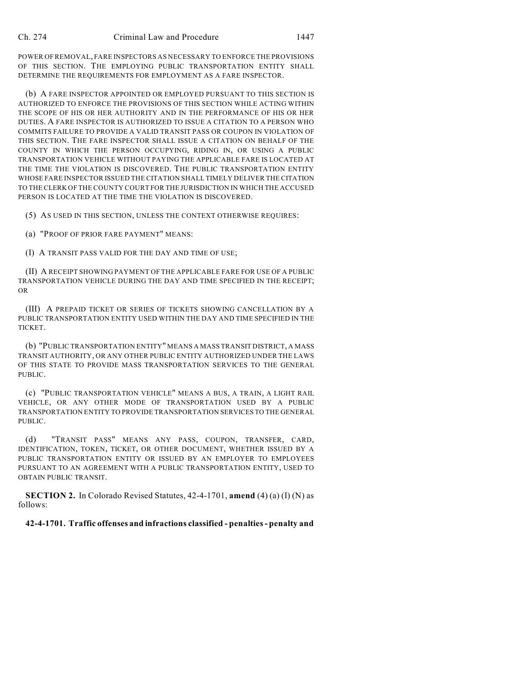POWER OF REMOVAL, FARE INSPECTORS AS NECESSARY TO ENFORCE THE PROVISIONS OF THIS SECTION. THE EMPLOYING PUBLIC TRANSPORTATION ENTITY SHALL DETERMINE THE REQUIREMENTS FOR EMPLOYMENT AS A FARE INSPECTOR.

(b) A FARE INSPECTOR APPOINTED OR EMPLOYED PURSUANT TO THIS SECTION IS AUTHORIZED TO ENFORCE THE PROVISIONS OF THIS SECTION WHILE ACTING WITHIN THE SCOPE OF HIS OR HER AUTHORITY AND IN THE PERFORMANCE OF HIS OR HER DUTIES. A FARE INSPECTOR IS AUTHORIZED TO ISSUE A CITATION TO A PERSON WHO COMMITS FAILURE TO PROVIDE A VALID TRANSIT PASS OR COUPON IN VIOLATION OF THIS SECTION. THE FARE INSPECTOR SHALL ISSUE A CITATION ON BEHALF OF THE COUNTY IN WHICH THE PERSON OCCUPYING, RIDING IN, OR USING A PUBLIC TRANSPORTATION VEHICLE WITHOUT PAYING THE APPLICABLE FARE IS LOCATED AT THE TIME THE VIOLATION IS DISCOVERED. THE PUBLIC TRANSPORTATION ENTITY WHOSE FARE INSPECTOR ISSUED THE CITATION SHALL TIMELY DELIVER THE CITATION TO THE CLERK OF THE COUNTY COURT FOR THE JURISDICTION IN WHICH THE ACCUSED PERSON IS LOCATED AT THE TIME THE VIOLATION IS DISCOVERED.

(5) AS USED IN THIS SECTION, UNLESS THE CONTEXT OTHERWISE REQUIRES:

(a) "PROOF OF PRIOR FARE PAYMENT" MEANS:

(I) A TRANSIT PASS VALID FOR THE DAY AND TIME OF USE;

(II) A RECEIPT SHOWING PAYMENT OF THE APPLICABLE FARE FOR USE OF A PUBLIC TRANSPORTATION VEHICLE DURING THE DAY AND TIME SPECIFIED IN THE RECEIPT; OR

(III) A PREPAID TICKET OR SERIES OF TICKETS SHOWING CANCELLATION BY A PUBLIC TRANSPORTATION ENTITY USED WITHIN THE DAY AND TIME SPECIFIED IN THE TICKET.

(b) "PUBLIC TRANSPORTATION ENTITY" MEANS A MASS TRANSIT DISTRICT, A MASS TRANSIT AUTHORITY, OR ANY OTHER PUBLIC ENTITY AUTHORIZED UNDER THE LAWS OF THIS STATE TO PROVIDE MASS TRANSPORTATION SERVICES TO THE GENERAL PUBLIC.

(c) "PUBLIC TRANSPORTATION VEHICLE" MEANS A BUS, A TRAIN, A LIGHT RAIL VEHICLE, OR ANY OTHER MODE OF TRANSPORTATION USED BY A PUBLIC TRANSPORTATION ENTITY TO PROVIDE TRANSPORTATION SERVICES TO THE GENERAL PUBLIC.

(d) "TRANSIT PASS" MEANS ANY PASS, COUPON, TRANSFER, CARD, IDENTIFICATION, TOKEN, TICKET, OR OTHER DOCUMENT, WHETHER ISSUED BY A PUBLIC TRANSPORTATION ENTITY OR ISSUED BY AN EMPLOYER TO EMPLOYEES PURSUANT TO AN AGREEMENT WITH A PUBLIC TRANSPORTATION ENTITY, USED TO OBTAIN PUBLIC TRANSIT.

**SECTION 2.** In Colorado Revised Statutes, 42-4-1701, **amend** (4) (a) (I) (N) as follows:

## **42-4-1701. Traffic offenses and infractions classified - penalties- penalty and**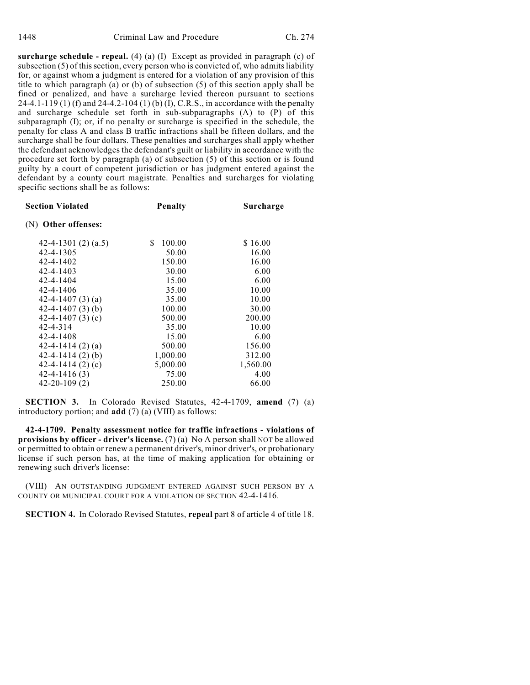**surcharge schedule - repeal.** (4) (a) (I) Except as provided in paragraph (c) of subsection  $(5)$  of this section, every person who is convicted of, who admits liability for, or against whom a judgment is entered for a violation of any provision of this title to which paragraph (a) or (b) of subsection (5) of this section apply shall be fined or penalized, and have a surcharge levied thereon pursuant to sections 24-4.1-119 (1) (f) and 24-4.2-104 (1) (b) (I), C.R.S., in accordance with the penalty and surcharge schedule set forth in sub-subparagraphs (A) to (P) of this subparagraph (I); or, if no penalty or surcharge is specified in the schedule, the penalty for class A and class B traffic infractions shall be fifteen dollars, and the surcharge shall be four dollars. These penalties and surcharges shall apply whether the defendant acknowledges the defendant's guilt or liability in accordance with the procedure set forth by paragraph (a) of subsection (5) of this section or is found guilty by a court of competent jurisdiction or has judgment entered against the defendant by a county court magistrate. Penalties and surcharges for violating specific sections shall be as follows:

| <b>Section Violated</b> | Penalty     | Surcharge |
|-------------------------|-------------|-----------|
| (N) Other offenses:     |             |           |
| 42-4-1301 $(2)$ $(a.5)$ | 100.00<br>S | \$16.00   |
| 42-4-1305               | 50.00       | 16.00     |
| 42-4-1402               | 150.00      | 16.00     |
| 42-4-1403               | 30.00       | 6.00      |
| 42-4-1404               | 15.00       | 6.00      |
| 42-4-1406               | 35.00       | 10.00     |
| 42-4-1407 $(3)$ $(a)$   | 35.00       | 10.00     |
| 42-4-1407 $(3)$ (b)     | 100.00      | 30.00     |
| 42-4-1407 $(3)$ $(c)$   | 500.00      | 200.00    |
| $42 - 4 - 314$          | 35.00       | 10.00     |
| 42-4-1408               | 15.00       | 6.00      |
| 42-4-1414 $(2)$ $(a)$   | 500.00      | 156.00    |
| $42-4-1414(2)$ (b)      | 1,000.00    | 312.00    |
| 42-4-1414 $(2)$ $(c)$   | 5,000.00    | 1,560.00  |
| $42 - 4 - 1416(3)$      | 75.00       | 4.00      |
| $42 - 20 - 109(2)$      | 250.00      | 66.00     |

**SECTION 3.** In Colorado Revised Statutes, 42-4-1709, **amend** (7) (a) introductory portion; and **add** (7) (a) (VIII) as follows:

**42-4-1709. Penalty assessment notice for traffic infractions - violations of provisions by officer - driver's license.** (7) (a) No A person shall NOT be allowed or permitted to obtain or renew a permanent driver's, minor driver's, or probationary license if such person has, at the time of making application for obtaining or renewing such driver's license:

(VIII) AN OUTSTANDING JUDGMENT ENTERED AGAINST SUCH PERSON BY A COUNTY OR MUNICIPAL COURT FOR A VIOLATION OF SECTION 42-4-1416.

**SECTION 4.** In Colorado Revised Statutes, **repeal** part 8 of article 4 of title 18.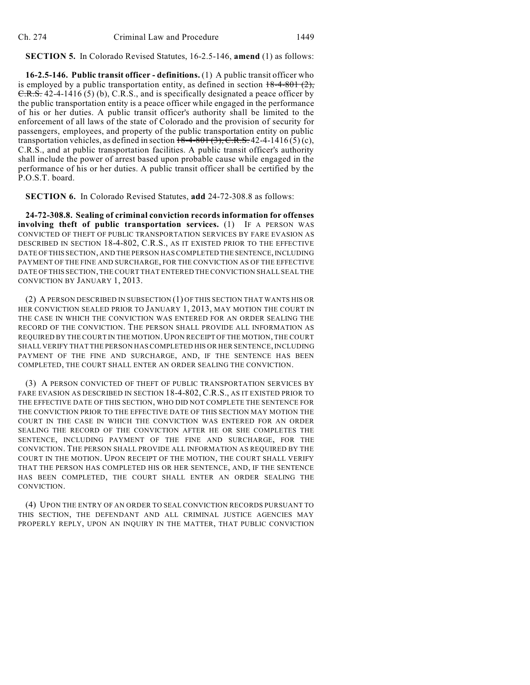**SECTION 5.** In Colorado Revised Statutes, 16-2.5-146, **amend** (1) as follows:

**16-2.5-146. Public transit officer - definitions.** (1) A public transit officer who is employed by a public transportation entity, as defined in section  $18-4-801(2)$ , C.R.S. 42-4-1416 (5) (b), C.R.S., and is specifically designated a peace officer by the public transportation entity is a peace officer while engaged in the performance of his or her duties. A public transit officer's authority shall be limited to the enforcement of all laws of the state of Colorado and the provision of security for passengers, employees, and property of the public transportation entity on public transportation vehicles, as defined in section  $18-4-801$  (3), C.R.S. 42-4-1416(5)(c), C.R.S., and at public transportation facilities. A public transit officer's authority shall include the power of arrest based upon probable cause while engaged in the performance of his or her duties. A public transit officer shall be certified by the P.O.S.T. board.

**SECTION 6.** In Colorado Revised Statutes, **add** 24-72-308.8 as follows:

**24-72-308.8. Sealing of criminal conviction records information for offenses involving theft of public transportation services.** (1) IF A PERSON WAS CONVICTED OF THEFT OF PUBLIC TRANSPORTATION SERVICES BY FARE EVASION AS DESCRIBED IN SECTION 18-4-802, C.R.S., AS IT EXISTED PRIOR TO THE EFFECTIVE DATE OF THIS SECTION, AND THE PERSON HASCOMPLETED THE SENTENCE,INCLUDING PAYMENT OF THE FINE AND SURCHARGE, FOR THE CONVICTION AS OF THE EFFECTIVE DATE OF THIS SECTION, THE COURT THAT ENTERED THE CONVICTION SHALL SEAL THE CONVICTION BY JANUARY 1, 2013.

(2) A PERSON DESCRIBED IN SUBSECTION (1) OF THIS SECTION THAT WANTS HIS OR HER CONVICTION SEALED PRIOR TO JANUARY 1, 2013, MAY MOTION THE COURT IN THE CASE IN WHICH THE CONVICTION WAS ENTERED FOR AN ORDER SEALING THE RECORD OF THE CONVICTION. THE PERSON SHALL PROVIDE ALL INFORMATION AS REQUIRED BY THE COURT IN THE MOTION. UPON RECEIPT OF THE MOTION, THE COURT SHALL VERIFY THAT THE PERSON HAS COMPLETED HIS OR HER SENTENCE,INCLUDING PAYMENT OF THE FINE AND SURCHARGE, AND, IF THE SENTENCE HAS BEEN COMPLETED, THE COURT SHALL ENTER AN ORDER SEALING THE CONVICTION.

(3) A PERSON CONVICTED OF THEFT OF PUBLIC TRANSPORTATION SERVICES BY FARE EVASION AS DESCRIBED IN SECTION 18-4-802, C.R.S., AS IT EXISTED PRIOR TO THE EFFECTIVE DATE OF THIS SECTION, WHO DID NOT COMPLETE THE SENTENCE FOR THE CONVICTION PRIOR TO THE EFFECTIVE DATE OF THIS SECTION MAY MOTION THE COURT IN THE CASE IN WHICH THE CONVICTION WAS ENTERED FOR AN ORDER SEALING THE RECORD OF THE CONVICTION AFTER HE OR SHE COMPLETES THE SENTENCE, INCLUDING PAYMENT OF THE FINE AND SURCHARGE, FOR THE CONVICTION. THE PERSON SHALL PROVIDE ALL INFORMATION AS REQUIRED BY THE COURT IN THE MOTION. UPON RECEIPT OF THE MOTION, THE COURT SHALL VERIFY THAT THE PERSON HAS COMPLETED HIS OR HER SENTENCE, AND, IF THE SENTENCE HAS BEEN COMPLETED, THE COURT SHALL ENTER AN ORDER SEALING THE CONVICTION.

(4) UPON THE ENTRY OF AN ORDER TO SEAL CONVICTION RECORDS PURSUANT TO THIS SECTION, THE DEFENDANT AND ALL CRIMINAL JUSTICE AGENCIES MAY PROPERLY REPLY, UPON AN INQUIRY IN THE MATTER, THAT PUBLIC CONVICTION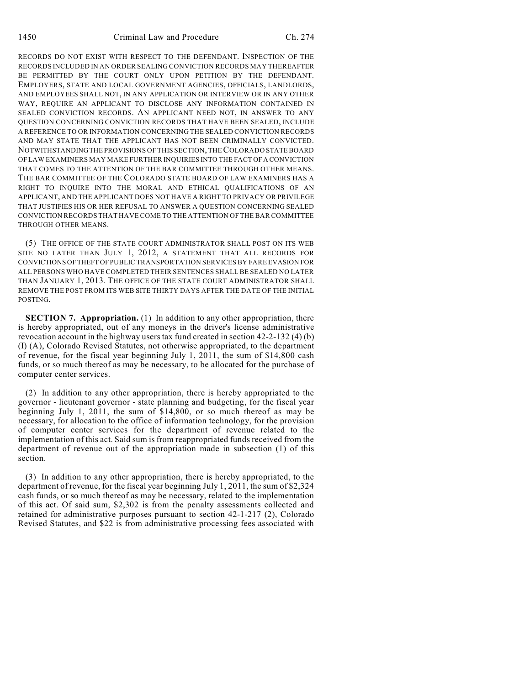RECORDS DO NOT EXIST WITH RESPECT TO THE DEFENDANT. INSPECTION OF THE RECORDS INCLUDED IN AN ORDER SEALING CONVICTION RECORDS MAY THEREAFTER BE PERMITTED BY THE COURT ONLY UPON PETITION BY THE DEFENDANT. EMPLOYERS, STATE AND LOCAL GOVERNMENT AGENCIES, OFFICIALS, LANDLORDS, AND EMPLOYEES SHALL NOT, IN ANY APPLICATION OR INTERVIEW OR IN ANY OTHER WAY, REQUIRE AN APPLICANT TO DISCLOSE ANY INFORMATION CONTAINED IN SEALED CONVICTION RECORDS. AN APPLICANT NEED NOT, IN ANSWER TO ANY QUESTION CONCERNING CONVICTION RECORDS THAT HAVE BEEN SEALED, INCLUDE A REFERENCE TO OR INFORMATION CONCERNING THE SEALED CONVICTION RECORDS AND MAY STATE THAT THE APPLICANT HAS NOT BEEN CRIMINALLY CONVICTED. NOTWITHSTANDINGTHE PROVISIONS OF THIS SECTION, THECOLORADO STATE BOARD OF LAW EXAMINERS MAY MAKE FURTHER INQUIRIES INTO THE FACT OFA CONVICTION THAT COMES TO THE ATTENTION OF THE BAR COMMITTEE THROUGH OTHER MEANS. THE BAR COMMITTEE OF THE COLORADO STATE BOARD OF LAW EXAMINERS HAS A RIGHT TO INQUIRE INTO THE MORAL AND ETHICAL QUALIFICATIONS OF AN APPLICANT, AND THE APPLICANT DOES NOT HAVE A RIGHT TO PRIVACY OR PRIVILEGE THAT JUSTIFIES HIS OR HER REFUSAL TO ANSWER A QUESTION CONCERNING SEALED CONVICTION RECORDS THAT HAVE COME TO THE ATTENTION OF THE BAR COMMITTEE THROUGH OTHER MEANS.

(5) THE OFFICE OF THE STATE COURT ADMINISTRATOR SHALL POST ON ITS WEB SITE NO LATER THAN JULY 1, 2012, A STATEMENT THAT ALL RECORDS FOR CONVICTIONS OFTHEFT OFPUBLIC TRANSPORTATION SERVICES BY FARE EVASION FOR ALL PERSONS WHO HAVE COMPLETED THEIR SENTENCES SHALL BE SEALED NO LATER THAN JANUARY 1, 2013. THE OFFICE OF THE STATE COURT ADMINISTRATOR SHALL REMOVE THE POST FROM ITS WEB SITE THIRTY DAYS AFTER THE DATE OF THE INITIAL POSTING.

**SECTION 7. Appropriation.** (1) In addition to any other appropriation, there is hereby appropriated, out of any moneys in the driver's license administrative revocation account in the highway users tax fund created in section 42-2-132 (4) (b) (I) (A), Colorado Revised Statutes, not otherwise appropriated, to the department of revenue, for the fiscal year beginning July 1, 2011, the sum of \$14,800 cash funds, or so much thereof as may be necessary, to be allocated for the purchase of computer center services.

(2) In addition to any other appropriation, there is hereby appropriated to the governor - lieutenant governor - state planning and budgeting, for the fiscal year beginning July 1, 2011, the sum of \$14,800, or so much thereof as may be necessary, for allocation to the office of information technology, for the provision of computer center services for the department of revenue related to the implementation of this act. Said sum is from reappropriated funds received from the department of revenue out of the appropriation made in subsection (1) of this section.

(3) In addition to any other appropriation, there is hereby appropriated, to the department of revenue, for the fiscal year beginning July 1, 2011, the sum of \$2,324 cash funds, or so much thereof as may be necessary, related to the implementation of this act. Of said sum, \$2,302 is from the penalty assessments collected and retained for administrative purposes pursuant to section 42-1-217 (2), Colorado Revised Statutes, and \$22 is from administrative processing fees associated with